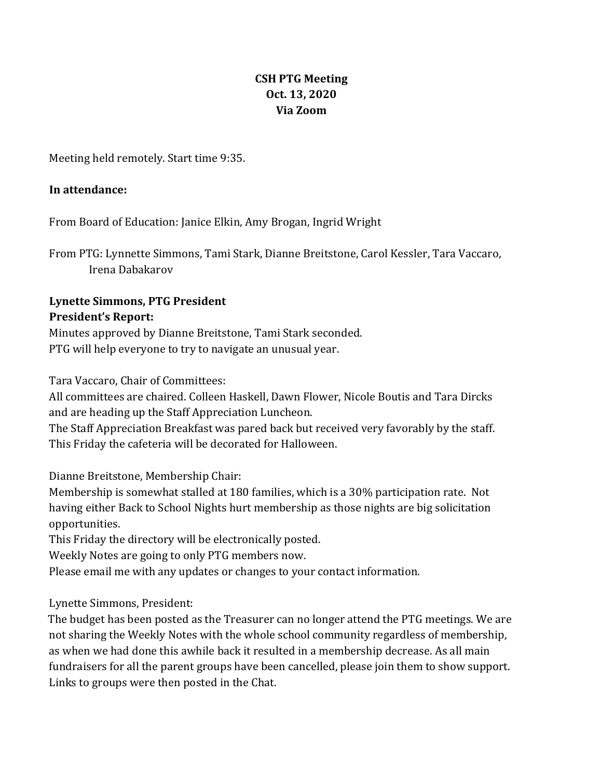# **CSH PTG Meeting Oct. 13, 2020 Via Zoom**

Meeting held remotely. Start time 9:35.

### **In attendance:**

From Board of Education: Janice Elkin, Amy Brogan, Ingrid Wright

From PTG: Lynnette Simmons, Tami Stark, Dianne Breitstone, Carol Kessler, Tara Vaccaro, Irena Dabakarov

# **Lynette Simmons, PTG President President's Report:**

Minutes approved by Dianne Breitstone, Tami Stark seconded. PTG will help everyone to try to navigate an unusual year.

Tara Vaccaro, Chair of Committees:

All committees are chaired. Colleen Haskell, Dawn Flower, Nicole Boutis and Tara Dircks and are heading up the Staff Appreciation Luncheon.

The Staff Appreciation Breakfast was pared back but received very favorably by the staff. This Friday the cafeteria will be decorated for Halloween.

Dianne Breitstone, Membership Chair:

Membership is somewhat stalled at 180 families, which is a 30% participation rate. Not having either Back to School Nights hurt membership as those nights are big solicitation opportunities. 

This Friday the directory will be electronically posted.

Weekly Notes are going to only PTG members now.

Please email me with any updates or changes to your contact information.

Lynette Simmons, President:

The budget has been posted as the Treasurer can no longer attend the PTG meetings. We are not sharing the Weekly Notes with the whole school community regardless of membership, as when we had done this awhile back it resulted in a membership decrease. As all main fundraisers for all the parent groups have been cancelled, please join them to show support. Links to groups were then posted in the Chat.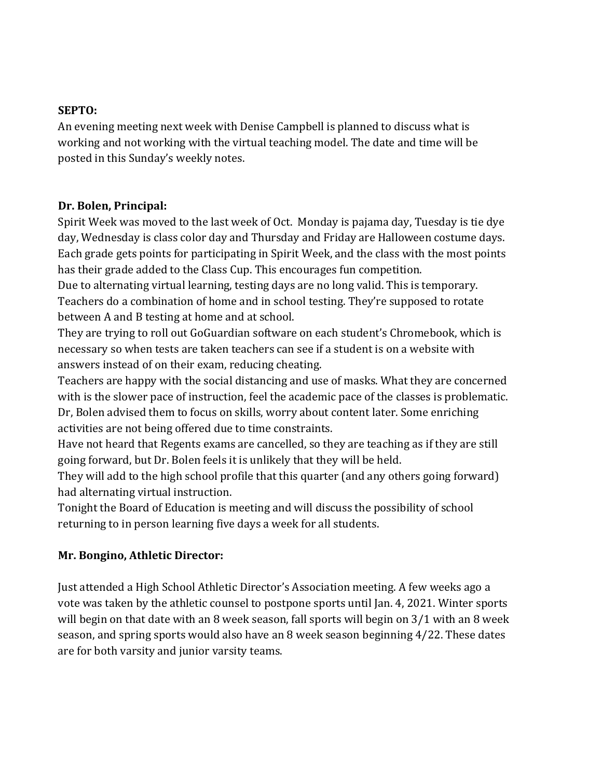#### **SEPTO:**

An evening meeting next week with Denise Campbell is planned to discuss what is working and not working with the virtual teaching model. The date and time will be posted in this Sunday's weekly notes.

#### **Dr. Bolen, Principal:**

Spirit Week was moved to the last week of Oct. Monday is pajama day, Tuesday is tie dye day, Wednesday is class color day and Thursday and Friday are Halloween costume days. Each grade gets points for participating in Spirit Week, and the class with the most points has their grade added to the Class Cup. This encourages fun competition.

Due to alternating virtual learning, testing days are no long valid. This is temporary. Teachers do a combination of home and in school testing. They're supposed to rotate between A and B testing at home and at school.

They are trying to roll out GoGuardian software on each student's Chromebook, which is necessary so when tests are taken teachers can see if a student is on a website with answers instead of on their exam, reducing cheating.

Teachers are happy with the social distancing and use of masks. What they are concerned with is the slower pace of instruction, feel the academic pace of the classes is problematic. Dr, Bolen advised them to focus on skills, worry about content later. Some enriching activities are not being offered due to time constraints.

Have not heard that Regents exams are cancelled, so they are teaching as if they are still going forward, but Dr. Bolen feels it is unlikely that they will be held.

They will add to the high school profile that this quarter (and any others going forward) had alternating virtual instruction.

Tonight the Board of Education is meeting and will discuss the possibility of school returning to in person learning five days a week for all students.

### **Mr. Bongino, Athletic Director:**

Just attended a High School Athletic Director's Association meeting. A few weeks ago a vote was taken by the athletic counsel to postpone sports until Jan. 4, 2021. Winter sports will begin on that date with an 8 week season, fall sports will begin on  $3/1$  with an 8 week season, and spring sports would also have an 8 week season beginning 4/22. These dates are for both varsity and junior varsity teams.